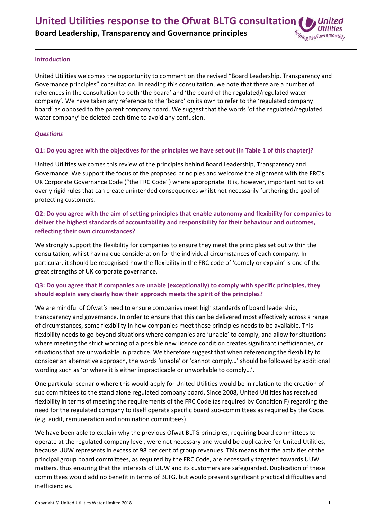#### **Introduction**

United Utilities welcomes the opportunity to comment on the revised "Board Leadership, Transparency and Governance principles" consultation. In reading this consultation, we note that there are a number of references in the consultation to both 'the board' and 'the board of the regulated/regulated water company'. We have taken any reference to the 'board' on its own to refer to the 'regulated company board' as opposed to the parent company board. We suggest that the words 'of the regulated/regulated water company' be deleted each time to avoid any confusion.

#### *Questions*

#### Q1: Do you agree with the objectives for the principles we have set out (in Table 1 of this chapter)?

United Utilities welcomes this review of the principles behind Board Leadership, Transparency and Governance. We support the focus of the proposed principles and welcome the alignment with the FRC's UK Corporate Governance Code ("the FRC Code") where appropriate. It is, however, important not to set overly rigid rules that can create unintended consequences whilst not necessarily furthering the goal of protecting customers.

# Q2: Do you agree with the aim of setting principles that enable autonomy and flexibility for companies to **deliver the highest standards of accountability and responsibility for their behaviour and outcomes, reflecting their own circumstances?**

We strongly support the flexibility for companies to ensure they meet the principles set out within the consultation, whilst having due consideration for the individual circumstances of each company. In particular, it should be recognised how the flexibility in the FRC code of 'comply or explain' is one of the great strengths of UK corporate governance.

# **Q3: Do you agree that if companies are unable (exceptionally) to comply with specific principles, they should explain very clearly how their approach meets the spirit of the principles?**

We are mindful of Ofwat's need to ensure companies meet high standards of board leadership, transparency and governance. In order to ensure that this can be delivered most effectively across a range of circumstances, some flexibility in how companies meet those principles needs to be available. This flexibility needs to go beyond situations where companies are 'unable' to comply, and allow for situations where meeting the strict wording of a possible new licence condition creates significant inefficiencies, or situations that are unworkable in practice. We therefore suggest that when referencing the flexibility to consider an alternative approach, the words 'unable' or 'cannot comply…' should be followed by additional wording such as 'or where it is either impracticable or unworkable to comply…'.

One particular scenario where this would apply for United Utilities would be in relation to the creation of sub committees to the stand alone regulated company board. Since 2008, United Utilities has received flexibility in terms of meeting the requirements of the FRC Code (as required by Condition F) regarding the need for the regulated company to itself operate specific board sub‐committees as required by the Code. (e.g. audit, remuneration and nomination committees).

We have been able to explain why the previous Ofwat BLTG principles, requiring board committees to operate at the regulated company level, were not necessary and would be duplicative for United Utilities, because UUW represents in excess of 98 per cent of group revenues. This means that the activities of the principal group board committees, as required by the FRC Code, are necessarily targeted towards UUW matters, thus ensuring that the interests of UUW and its customers are safeguarded. Duplication of these committees would add no benefit in terms of BLTG, but would present significant practical difficulties and inefficiencies.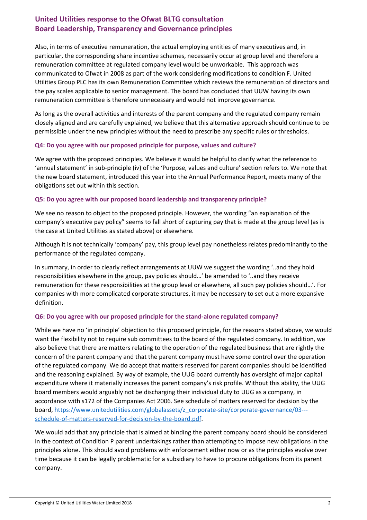# **United Utilities response to the Ofwat BLTG consultation Board Leadership, Transparency and Governance principles**

Also, in terms of executive remuneration, the actual employing entities of many executives and, in particular, the corresponding share incentive schemes, necessarily occur at group level and therefore a remuneration committee at regulated company level would be unworkable. This approach was communicated to Ofwat in 2008 as part of the work considering modifications to condition F. United Utilities Group PLC has its own Remuneration Committee which reviews the remuneration of directors and the pay scales applicable to senior management. The board has concluded that UUW having its own remuneration committee is therefore unnecessary and would not improve governance.

As long as the overall activities and interests of the parent company and the regulated company remain closely aligned and are carefully explained, we believe that this alternative approach should continue to be permissible under the new principles without the need to prescribe any specific rules or thresholds.

#### **Q4: Do you agree with our proposed principle for purpose, values and culture?**

We agree with the proposed principles. We believe it would be helpful to clarify what the reference to 'annual statement' in sub‐principle (iv) of the 'Purpose, values and culture' section refers to. We note that the new board statement, introduced this year into the Annual Performance Report, meets many of the obligations set out within this section.

### **Q5: Do you agree with our proposed board leadership and transparency principle?**

We see no reason to object to the proposed principle. However, the wording "an explanation of the company's executive pay policy" seems to fall short of capturing pay that is made at the group level (as is the case at United Utilities as stated above) or elsewhere.

Although it is not technically 'company' pay, this group level pay nonetheless relates predominantly to the performance of the regulated company.

In summary, in order to clearly reflect arrangements at UUW we suggest the wording '..and they hold responsibilities elsewhere in the group, pay policies should…' be amended to '..and they receive remuneration for these responsibilities at the group level or elsewhere, all such pay policies should…'. For companies with more complicated corporate structures, it may be necessary to set out a more expansive definition.

### **Q6: Do you agree with our proposed principle for the stand‐alone regulated company?**

While we have no 'in principle' objection to this proposed principle, for the reasons stated above, we would want the flexibility not to require sub committees to the board of the regulated company. In addition, we also believe that there are matters relating to the operation of the regulated business that are rightly the concern of the parent company and that the parent company must have some control over the operation of the regulated company. We do accept that matters reserved for parent companies should be identified and the reasoning explained. By way of example, the UUG board currently has oversight of major capital expenditure where it materially increases the parent company's risk profile. Without this ability, the UUG board members would arguably not be discharging their individual duty to UUG as a company, in accordance with s172 of the Companies Act 2006. See schedule of matters reserved for decision by the board, https://www.unitedutilities.com/globalassets/z\_corporate-site/corporate-governance/03--schedule‐of‐matters‐reserved‐for‐decision‐by‐the‐board.pdf.

We would add that any principle that is aimed at binding the parent company board should be considered in the context of Condition P parent undertakings rather than attempting to impose new obligations in the principles alone. This should avoid problems with enforcement either now or as the principles evolve over time because it can be legally problematic for a subsidiary to have to procure obligations from its parent company.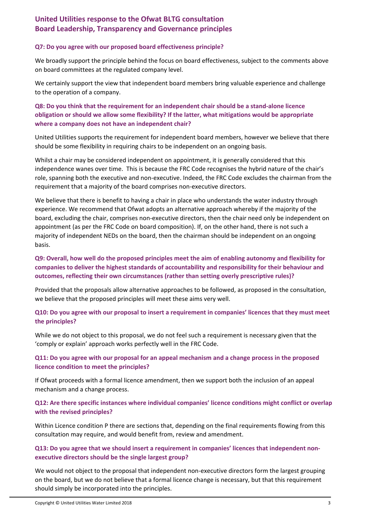# **United Utilities response to the Ofwat BLTG consultation Board Leadership, Transparency and Governance principles**

#### **Q7: Do you agree with our proposed board effectiveness principle?**

We broadly support the principle behind the focus on board effectiveness, subject to the comments above on board committees at the regulated company level.

We certainly support the view that independent board members bring valuable experience and challenge to the operation of a company.

# **Q8: Do you think that the requirement for an independent chair should be a stand‐alone licence obligation or should we allow some flexibility? If the latter, what mitigations would be appropriate where a company does not have an independent chair?**

United Utilities supports the requirement for independent board members, however we believe that there should be some flexibility in requiring chairs to be independent on an ongoing basis.

Whilst a chair may be considered independent on appointment, it is generally considered that this independence wanes over time. This is because the FRC Code recognises the hybrid nature of the chair's role, spanning both the executive and non‐executive. Indeed, the FRC Code excludes the chairman from the requirement that a majority of the board comprises non‐executive directors.

We believe that there is benefit to having a chair in place who understands the water industry through experience. We recommend that Ofwat adopts an alternative approach whereby if the majority of the board, excluding the chair, comprises non‐executive directors, then the chair need only be independent on appointment (as per the FRC Code on board composition). If, on the other hand, there is not such a majority of independent NEDs on the board, then the chairman should be independent on an ongoing basis.

## **Q9: Overall, how well do the proposed principles meet the aim of enabling autonomy and flexibility for companies to deliver the highest standards of accountability and responsibility for their behaviour and outcomes, reflecting their own circumstances (rather than setting overly prescriptive rules)?**

Provided that the proposals allow alternative approaches to be followed, as proposed in the consultation, we believe that the proposed principles will meet these aims very well.

### Q10: Do you agree with our proposal to insert a requirement in companies' licences that they must meet **the principles?**

While we do not object to this proposal, we do not feel such a requirement is necessary given that the 'comply or explain' approach works perfectly well in the FRC Code.

# **Q11: Do you agree with our proposal for an appeal mechanism and a change process in the proposed licence condition to meet the principles?**

If Ofwat proceeds with a formal licence amendment, then we support both the inclusion of an appeal mechanism and a change process.

### **Q12: Are there specific instances where individual companies' licence conditions might conflict or overlap with the revised principles?**

Within Licence condition P there are sections that, depending on the final requirements flowing from this consultation may require, and would benefit from, review and amendment.

### **Q13: Do you agree that we should insert a requirement in companies' licences that independent non‐ executive directors should be the single largest group?**

We would not object to the proposal that independent non-executive directors form the largest grouping on the board, but we do not believe that a formal licence change is necessary, but that this requirement should simply be incorporated into the principles.